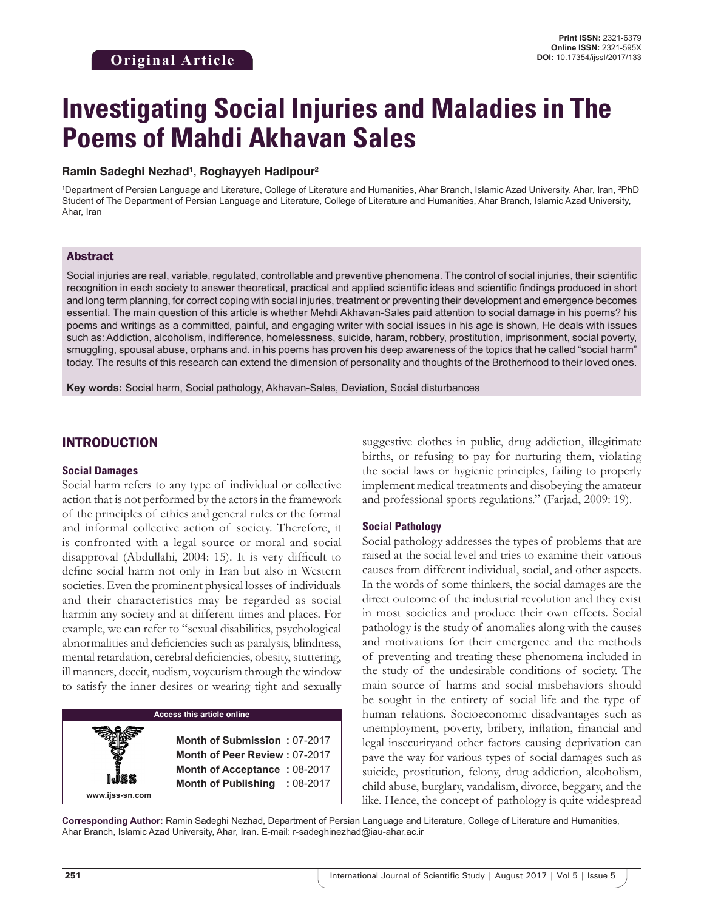# **Investigating Social Injuries and Maladies in The Poems of Mahdi Akhavan Sales**

## **Ramin Sadeghi Nezhad1 , Roghayyeh Hadipour2**

1 Department of Persian Language and Literature, College of Literature and Humanities, Ahar Branch, Islamic Azad University, Ahar, Iran, 2 PhD Student of The Department of Persian Language and Literature, College of Literature and Humanities, Ahar Branch, Islamic Azad University, Ahar, Iran

## Abstract

Social injuries are real, variable, regulated, controllable and preventive phenomena. The control of social injuries, their scientific recognition in each society to answer theoretical, practical and applied scientific ideas and scientific findings produced in short and long term planning, for correct coping with social injuries, treatment or preventing their development and emergence becomes essential. The main question of this article is whether Mehdi Akhavan-Sales paid attention to social damage in his poems? his poems and writings as a committed, painful, and engaging writer with social issues in his age is shown, He deals with issues such as: Addiction, alcoholism, indifference, homelessness, suicide, haram, robbery, prostitution, imprisonment, social poverty, smuggling, spousal abuse, orphans and. in his poems has proven his deep awareness of the topics that he called "social harm" today. The results of this research can extend the dimension of personality and thoughts of the Brotherhood to their loved ones.

**Key words:** Social harm, Social pathology, Akhavan-Sales, Deviation, Social disturbances

# INTRODUCTION

## **Social Damages**

Social harm refers to any type of individual or collective action that is not performed by the actors in the framework of the principles of ethics and general rules or the formal and informal collective action of society. Therefore, it is confronted with a legal source or moral and social disapproval (Abdullahi, 2004: 15). It is very difficult to define social harm not only in Iran but also in Western societies. Even the prominent physical losses of individuals and their characteristics may be regarded as social harmin any society and at different times and places. For example, we can refer to "sexual disabilities, psychological abnormalities and deficiencies such as paralysis, blindness, mental retardation, cerebral deficiencies, obesity, stuttering, ill manners, deceit, nudism, voyeurism through the window to satisfy the inner desires or wearing tight and sexually



suggestive clothes in public, drug addiction, illegitimate births, or refusing to pay for nurturing them, violating the social laws or hygienic principles, failing to properly implement medical treatments and disobeying the amateur and professional sports regulations." (Farjad, 2009: 19).

## **Social Pathology**

Social pathology addresses the types of problems that are raised at the social level and tries to examine their various causes from different individual, social, and other aspects. In the words of some thinkers, the social damages are the direct outcome of the industrial revolution and they exist in most societies and produce their own effects. Social pathology is the study of anomalies along with the causes and motivations for their emergence and the methods of preventing and treating these phenomena included in the study of the undesirable conditions of society. The main source of harms and social misbehaviors should be sought in the entirety of social life and the type of human relations. Socioeconomic disadvantages such as unemployment, poverty, bribery, inflation, financial and legal insecurityand other factors causing deprivation can pave the way for various types of social damages such as suicide, prostitution, felony, drug addiction, alcoholism, child abuse, burglary, vandalism, divorce, beggary, and the like. Hence, the concept of pathology is quite widespread

**Corresponding Author:** Ramin Sadeghi Nezhad, Department of Persian Language and Literature, College of Literature and Humanities, Ahar Branch, Islamic Azad University, Ahar, Iran. E-mail: r-sadeghinezhad@iau-ahar.ac.ir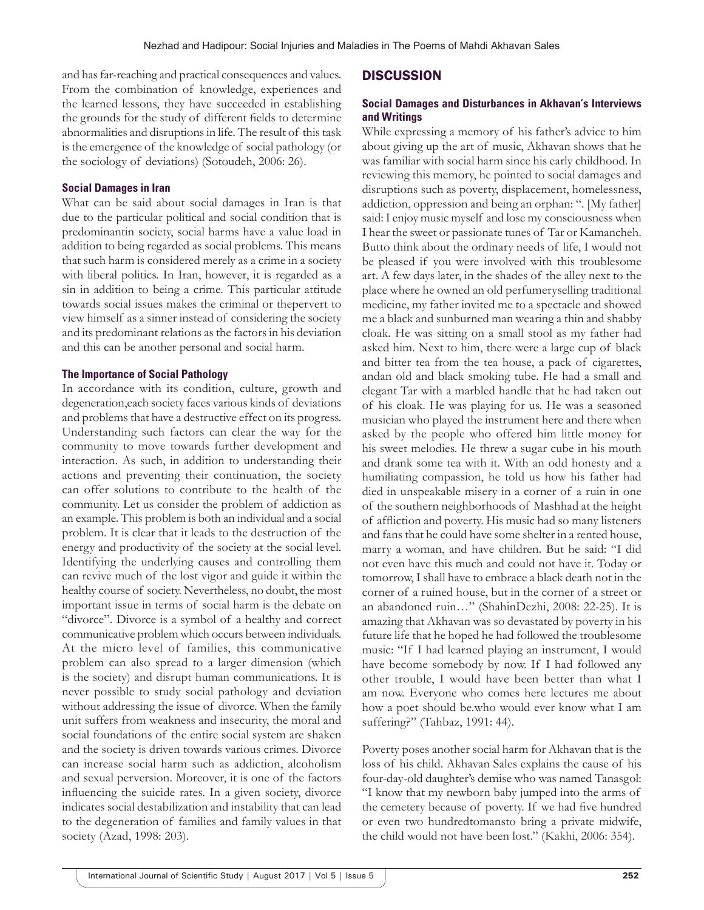and has far-reaching and practical consequences and values. From the combination of knowledge, experiences and the learned lessons, they have succeeded in establishing the grounds for the study of different fields to determine abnormalities and disruptions in life. The result of this task is the emergence of the knowledge of social pathology (or the sociology of deviations) (Sotoudeh, 2006: 26).

#### **Social Damages in Iran**

What can be said about social damages in Iran is that due to the particular political and social condition that is predominantin society, social harms have a value load in addition to being regarded as social problems. This means that such harm is considered merely as a crime in a society with liberal politics. In Iran, however, it is regarded as a sin in addition to being a crime. This particular attitude towards social issues makes the criminal or thepervert to view himself as a sinner instead of considering the society and its predominant relations as the factors in his deviation and this can be another personal and social harm.

#### **The Importance of Social Pathology**

In accordance with its condition, culture, growth and degeneration,each society faces various kinds of deviations and problems that have a destructive effect on its progress. Understanding such factors can clear the way for the community to move towards further development and interaction. As such, in addition to understanding their actions and preventing their continuation, the society can offer solutions to contribute to the health of the community. Let us consider the problem of addiction as an example. This problem is both an individual and a social problem. It is clear that it leads to the destruction of the energy and productivity of the society at the social level. Identifying the underlying causes and controlling them can revive much of the lost vigor and guide it within the healthy course of society. Nevertheless, no doubt, the most important issue in terms of social harm is the debate on "divorce". Divorce is a symbol of a healthy and correct communicative problem which occurs between individuals. At the micro level of families, this communicative problem can also spread to a larger dimension (which is the society) and disrupt human communications. It is never possible to study social pathology and deviation without addressing the issue of divorce. When the family unit suffers from weakness and insecurity, the moral and social foundations of the entire social system are shaken and the society is driven towards various crimes. Divorce can increase social harm such as addiction, alcoholism and sexual perversion. Moreover, it is one of the factors influencing the suicide rates. In a given society, divorce indicates social destabilization and instability that can lead to the degeneration of families and family values in that society (Azad, 1998: 203).

## **DISCUSSION**

## **Social Damages and Disturbances in Akhavan's Interviews and Writings**

While expressing a memory of his father's advice to him about giving up the art of music, Akhavan shows that he was familiar with social harm since his early childhood. In reviewing this memory, he pointed to social damages and disruptions such as poverty, displacement, homelessness, addiction, oppression and being an orphan: ". [My father] said: I enjoy music myself and lose my consciousness when I hear the sweet or passionate tunes of Tar or Kamancheh. Butto think about the ordinary needs of life, I would not be pleased if you were involved with this troublesome art. A few days later, in the shades of the alley next to the place where he owned an old perfumeryselling traditional medicine, my father invited me to a spectacle and showed me a black and sunburned man wearing a thin and shabby cloak. He was sitting on a small stool as my father had asked him. Next to him, there were a large cup of black and bitter tea from the tea house, a pack of cigarettes, andan old and black smoking tube. He had a small and elegant Tar with a marbled handle that he had taken out of his cloak. He was playing for us. He was a seasoned musician who played the instrument here and there when asked by the people who offered him little money for his sweet melodies. He threw a sugar cube in his mouth and drank some tea with it. With an odd honesty and a humiliating compassion, he told us how his father had died in unspeakable misery in a corner of a ruin in one of the southern neighborhoods of Mashhad at the height of affliction and poverty. His music had so many listeners and fans that he could have some shelter in a rented house, marry a woman, and have children. But he said: "I did not even have this much and could not have it. Today or tomorrow, I shall have to embrace a black death not in the corner of a ruined house, but in the corner of a street or an abandoned ruin…" (ShahinDezhi, 2008: 22-25). It is amazing that Akhavan was so devastated by poverty in his future life that he hoped he had followed the troublesome music: "If I had learned playing an instrument, I would have become somebody by now. If I had followed any other trouble, I would have been better than what I am now. Everyone who comes here lectures me about how a poet should be.who would ever know what I am suffering?" (Tahbaz, 1991: 44).

Poverty poses another social harm for Akhavan that is the loss of his child. Akhavan Sales explains the cause of his four-day-old daughter's demise who was named Tanasgol: "I know that my newborn baby jumped into the arms of the cemetery because of poverty. If we had five hundred or even two hundredtomansto bring a private midwife, the child would not have been lost." (Kakhi, 2006: 354).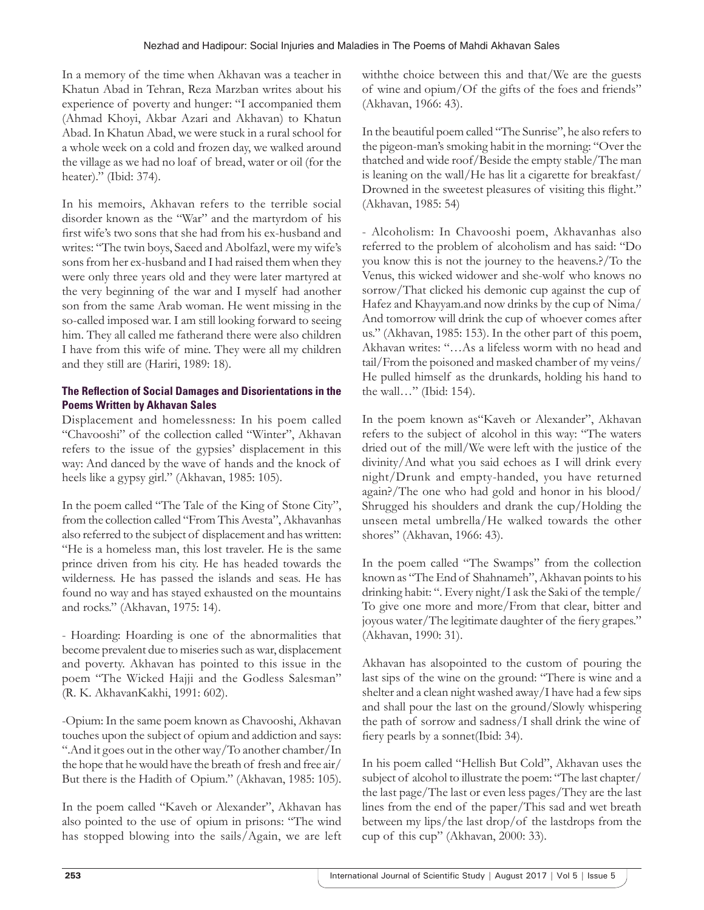In a memory of the time when Akhavan was a teacher in Khatun Abad in Tehran, Reza Marzban writes about his experience of poverty and hunger: "I accompanied them (Ahmad Khoyi, Akbar Azari and Akhavan) to Khatun Abad. In Khatun Abad, we were stuck in a rural school for a whole week on a cold and frozen day, we walked around the village as we had no loaf of bread, water or oil (for the heater)." (Ibid: 374).

In his memoirs, Akhavan refers to the terrible social disorder known as the "War" and the martyrdom of his first wife's two sons that she had from his ex-husband and writes: "The twin boys, Saeed and Abolfazl, were my wife's sons from her ex-husband and I had raised them when they were only three years old and they were later martyred at the very beginning of the war and I myself had another son from the same Arab woman. He went missing in the so-called imposed war. I am still looking forward to seeing him. They all called me fatherand there were also children I have from this wife of mine. They were all my children and they still are (Hariri, 1989: 18).

# **The Reflection of Social Damages and Disorientations in the Poems Written by Akhavan Sales**

Displacement and homelessness: In his poem called "Chavooshi" of the collection called "Winter", Akhavan refers to the issue of the gypsies' displacement in this way: And danced by the wave of hands and the knock of heels like a gypsy girl." (Akhavan, 1985: 105).

In the poem called "The Tale of the King of Stone City", from the collection called "From This Avesta", Akhavanhas also referred to the subject of displacement and has written: "He is a homeless man, this lost traveler. He is the same prince driven from his city. He has headed towards the wilderness. He has passed the islands and seas. He has found no way and has stayed exhausted on the mountains and rocks." (Akhavan, 1975: 14).

- Hoarding: Hoarding is one of the abnormalities that become prevalent due to miseries such as war, displacement and poverty. Akhavan has pointed to this issue in the poem "The Wicked Hajji and the Godless Salesman" (R. K. AkhavanKakhi, 1991: 602).

-Opium: In the same poem known as Chavooshi, Akhavan touches upon the subject of opium and addiction and says: ".And it goes out in the other way/To another chamber/In the hope that he would have the breath of fresh and free air/ But there is the Hadith of Opium." (Akhavan, 1985: 105).

In the poem called "Kaveh or Alexander", Akhavan has also pointed to the use of opium in prisons: "The wind has stopped blowing into the sails/Again, we are left withthe choice between this and that/We are the guests of wine and opium/Of the gifts of the foes and friends" (Akhavan, 1966: 43).

In the beautiful poem called "The Sunrise", he also refers to the pigeon-man's smoking habit in the morning: "Over the thatched and wide roof/Beside the empty stable/The man is leaning on the wall/He has lit a cigarette for breakfast/ Drowned in the sweetest pleasures of visiting this flight." (Akhavan, 1985: 54)

- Alcoholism: In Chavooshi poem, Akhavanhas also referred to the problem of alcoholism and has said: "Do you know this is not the journey to the heavens.?/To the Venus, this wicked widower and she-wolf who knows no sorrow/That clicked his demonic cup against the cup of Hafez and Khayyam.and now drinks by the cup of Nima/ And tomorrow will drink the cup of whoever comes after us." (Akhavan, 1985: 153). In the other part of this poem, Akhavan writes: "…As a lifeless worm with no head and tail/From the poisoned and masked chamber of my veins/ He pulled himself as the drunkards, holding his hand to the wall…" (Ibid: 154).

In the poem known as"Kaveh or Alexander", Akhavan refers to the subject of alcohol in this way: "The waters dried out of the mill/We were left with the justice of the divinity/And what you said echoes as I will drink every night/Drunk and empty-handed, you have returned again?/The one who had gold and honor in his blood/ Shrugged his shoulders and drank the cup/Holding the unseen metal umbrella/He walked towards the other shores" (Akhavan, 1966: 43).

In the poem called "The Swamps" from the collection known as "The End of Shahnameh", Akhavan points to his drinking habit: ". Every night/I ask the Saki of the temple/ To give one more and more/From that clear, bitter and joyous water/The legitimate daughter of the fiery grapes." (Akhavan, 1990: 31).

Akhavan has alsopointed to the custom of pouring the last sips of the wine on the ground: "There is wine and a shelter and a clean night washed away/I have had a few sips and shall pour the last on the ground/Slowly whispering the path of sorrow and sadness/I shall drink the wine of fiery pearls by a sonnet(Ibid: 34).

In his poem called "Hellish But Cold", Akhavan uses the subject of alcohol to illustrate the poem: "The last chapter/ the last page/The last or even less pages/They are the last lines from the end of the paper/This sad and wet breath between my lips/the last drop/of the lastdrops from the cup of this cup" (Akhavan, 2000: 33).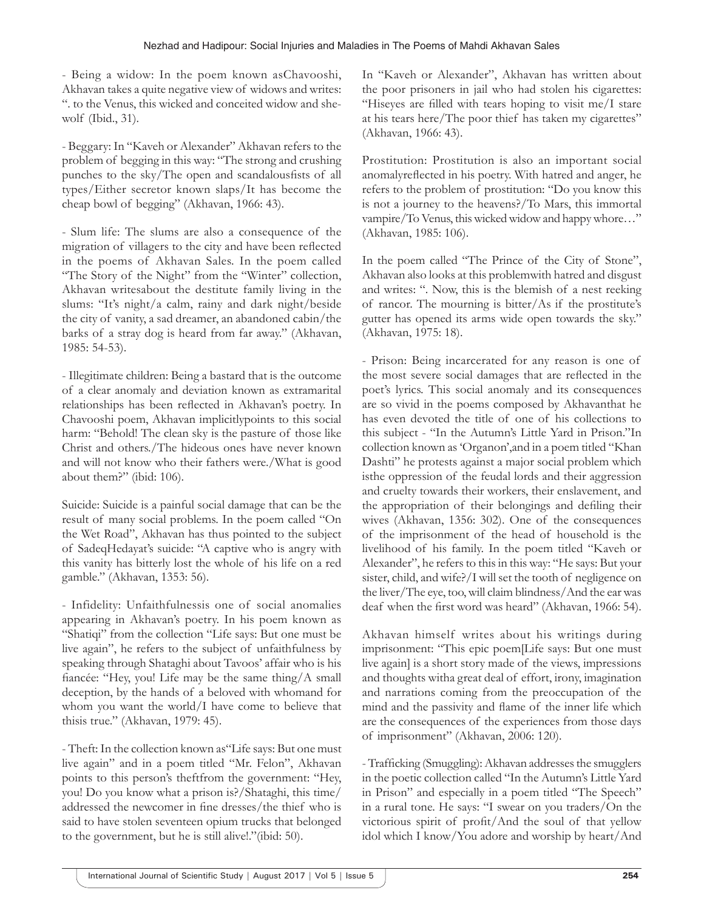- Being a widow: In the poem known asChavooshi, Akhavan takes a quite negative view of widows and writes: ". to the Venus, this wicked and conceited widow and shewolf (Ibid., 31).

- Beggary: In "Kaveh or Alexander" Akhavan refers to the problem of begging in this way: "The strong and crushing punches to the sky/The open and scandalousfists of all types/Either secretor known slaps/It has become the cheap bowl of begging" (Akhavan, 1966: 43).

- Slum life: The slums are also a consequence of the migration of villagers to the city and have been reflected in the poems of Akhavan Sales. In the poem called "The Story of the Night" from the "Winter" collection, Akhavan writesabout the destitute family living in the slums: "It's night/a calm, rainy and dark night/beside the city of vanity, a sad dreamer, an abandoned cabin/the barks of a stray dog is heard from far away." (Akhavan, 1985: 54-53).

- Illegitimate children: Being a bastard that is the outcome of a clear anomaly and deviation known as extramarital relationships has been reflected in Akhavan's poetry. In Chavooshi poem, Akhavan implicitlypoints to this social harm: "Behold! The clean sky is the pasture of those like Christ and others./The hideous ones have never known and will not know who their fathers were./What is good about them?" (ibid: 106).

Suicide: Suicide is a painful social damage that can be the result of many social problems. In the poem called "On the Wet Road", Akhavan has thus pointed to the subject of SadeqHedayat's suicide: "A captive who is angry with this vanity has bitterly lost the whole of his life on a red gamble." (Akhavan, 1353: 56).

- Infidelity: Unfaithfulnessis one of social anomalies appearing in Akhavan's poetry. In his poem known as "Shatiqi" from the collection "Life says: But one must be live again", he refers to the subject of unfaithfulness by speaking through Shataghi about Tavoos' affair who is his fiancée: "Hey, you! Life may be the same thing/A small deception, by the hands of a beloved with whomand for whom you want the world/I have come to believe that thisis true." (Akhavan, 1979: 45).

- Theft: In the collection known as"Life says: But one must live again" and in a poem titled "Mr. Felon", Akhavan points to this person's theftfrom the government: "Hey, you! Do you know what a prison is?/Shataghi, this time/ addressed the newcomer in fine dresses/the thief who is said to have stolen seventeen opium trucks that belonged to the government, but he is still alive!."(ibid: 50).

In "Kaveh or Alexander", Akhavan has written about the poor prisoners in jail who had stolen his cigarettes: "Hiseyes are filled with tears hoping to visit me/I stare at his tears here/The poor thief has taken my cigarettes" (Akhavan, 1966: 43).

Prostitution: Prostitution is also an important social anomalyreflected in his poetry. With hatred and anger, he refers to the problem of prostitution: "Do you know this is not a journey to the heavens?/To Mars, this immortal vampire/To Venus, this wicked widow and happy whore…" (Akhavan, 1985: 106).

In the poem called "The Prince of the City of Stone", Akhavan also looks at this problemwith hatred and disgust and writes: ". Now, this is the blemish of a nest reeking of rancor. The mourning is bitter/As if the prostitute's gutter has opened its arms wide open towards the sky." (Akhavan, 1975: 18).

- Prison: Being incarcerated for any reason is one of the most severe social damages that are reflected in the poet's lyrics. This social anomaly and its consequences are so vivid in the poems composed by Akhavanthat he has even devoted the title of one of his collections to this subject - "In the Autumn's Little Yard in Prison."In collection known as 'Organon',and in a poem titled "Khan Dashti" he protests against a major social problem which isthe oppression of the feudal lords and their aggression and cruelty towards their workers, their enslavement, and the appropriation of their belongings and defiling their wives (Akhavan, 1356: 302). One of the consequences of the imprisonment of the head of household is the livelihood of his family. In the poem titled "Kaveh or Alexander", he refers to this in this way: "He says: But your sister, child, and wife?/I will set the tooth of negligence on the liver/The eye, too, will claim blindness/And the ear was deaf when the first word was heard" (Akhavan, 1966: 54).

Akhavan himself writes about his writings during imprisonment: "This epic poem[Life says: But one must live again] is a short story made of the views, impressions and thoughts witha great deal of effort, irony, imagination and narrations coming from the preoccupation of the mind and the passivity and flame of the inner life which are the consequences of the experiences from those days of imprisonment" (Akhavan, 2006: 120).

- Trafficking (Smuggling): Akhavan addresses the smugglers in the poetic collection called "In the Autumn's Little Yard in Prison" and especially in a poem titled "The Speech" in a rural tone. He says: "I swear on you traders/On the victorious spirit of profit/And the soul of that yellow idol which I know/You adore and worship by heart/And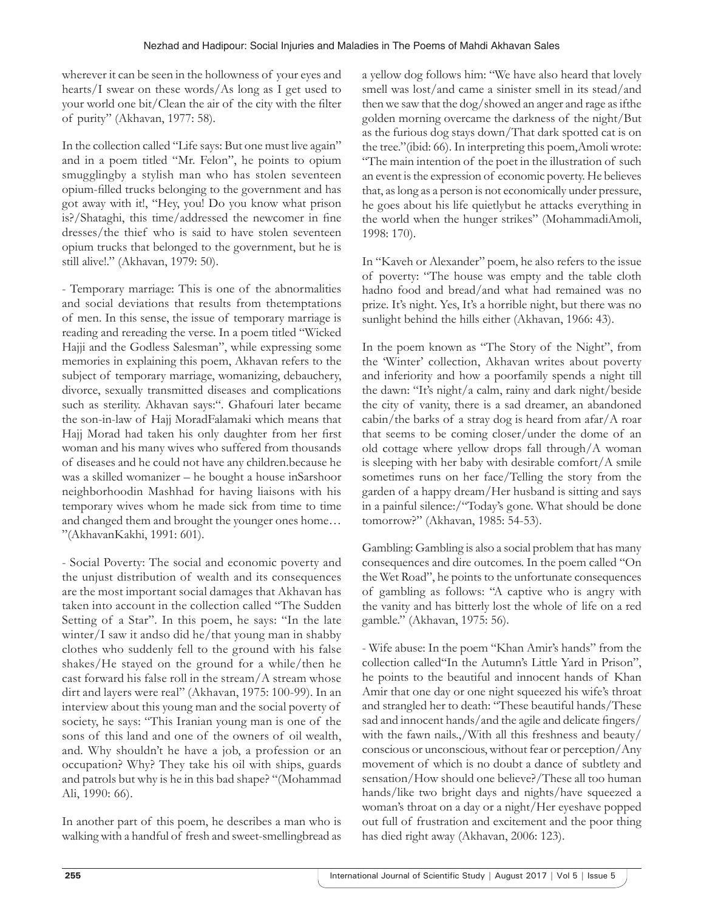wherever it can be seen in the hollowness of your eyes and hearts/I swear on these words/As long as I get used to your world one bit/Clean the air of the city with the filter of purity" (Akhavan, 1977: 58).

In the collection called "Life says: But one must live again" and in a poem titled "Mr. Felon", he points to opium smugglingby a stylish man who has stolen seventeen opium-filled trucks belonging to the government and has got away with it!, "Hey, you! Do you know what prison is?/Shataghi, this time/addressed the newcomer in fine dresses/the thief who is said to have stolen seventeen opium trucks that belonged to the government, but he is still alive!." (Akhavan, 1979: 50).

- Temporary marriage: This is one of the abnormalities and social deviations that results from thetemptations of men. In this sense, the issue of temporary marriage is reading and rereading the verse. In a poem titled "Wicked Hajji and the Godless Salesman", while expressing some memories in explaining this poem, Akhavan refers to the subject of temporary marriage, womanizing, debauchery, divorce, sexually transmitted diseases and complications such as sterility. Akhavan says:". Ghafouri later became the son-in-law of Hajj MoradFalamaki which means that Hajj Morad had taken his only daughter from her first woman and his many wives who suffered from thousands of diseases and he could not have any children.because he was a skilled womanizer – he bought a house inSarshoor neighborhoodin Mashhad for having liaisons with his temporary wives whom he made sick from time to time and changed them and brought the younger ones home… "(AkhavanKakhi, 1991: 601).

- Social Poverty: The social and economic poverty and the unjust distribution of wealth and its consequences are the most important social damages that Akhavan has taken into account in the collection called "The Sudden Setting of a Star". In this poem, he says: "In the late winter/I saw it andso did he/that young man in shabby clothes who suddenly fell to the ground with his false shakes/He stayed on the ground for a while/then he cast forward his false roll in the stream/A stream whose dirt and layers were real" (Akhavan, 1975: 100-99). In an interview about this young man and the social poverty of society, he says: "This Iranian young man is one of the sons of this land and one of the owners of oil wealth, and. Why shouldn't he have a job, a profession or an occupation? Why? They take his oil with ships, guards and patrols but why is he in this bad shape? "(Mohammad Ali, 1990: 66).

In another part of this poem, he describes a man who is walking with a handful of fresh and sweet-smellingbread as a yellow dog follows him: "We have also heard that lovely smell was lost/and came a sinister smell in its stead/and then we saw that the dog/showed an anger and rage as ifthe golden morning overcame the darkness of the night/But as the furious dog stays down/That dark spotted cat is on the tree."(ibid: 66). In interpreting this poem,Amoli wrote: "The main intention of the poet in the illustration of such an event is the expression of economic poverty. He believes that, as long as a person is not economically under pressure, he goes about his life quietlybut he attacks everything in the world when the hunger strikes" (MohammadiAmoli, 1998: 170).

In "Kaveh or Alexander" poem, he also refers to the issue of poverty: "The house was empty and the table cloth hadno food and bread/and what had remained was no prize. It's night. Yes, It's a horrible night, but there was no sunlight behind the hills either (Akhavan, 1966: 43).

In the poem known as "The Story of the Night", from the 'Winter' collection, Akhavan writes about poverty and inferiority and how a poorfamily spends a night till the dawn: "It's night/a calm, rainy and dark night/beside the city of vanity, there is a sad dreamer, an abandoned cabin/the barks of a stray dog is heard from afar/A roar that seems to be coming closer/under the dome of an old cottage where yellow drops fall through/A woman is sleeping with her baby with desirable comfort/A smile sometimes runs on her face/Telling the story from the garden of a happy dream/Her husband is sitting and says in a painful silence:/"Today's gone. What should be done tomorrow?" (Akhavan, 1985: 54-53).

Gambling: Gambling is also a social problem that has many consequences and dire outcomes. In the poem called "On the Wet Road", he points to the unfortunate consequences of gambling as follows: "A captive who is angry with the vanity and has bitterly lost the whole of life on a red gamble." (Akhavan, 1975: 56).

- Wife abuse: In the poem "Khan Amir's hands" from the collection called"In the Autumn's Little Yard in Prison", he points to the beautiful and innocent hands of Khan Amir that one day or one night squeezed his wife's throat and strangled her to death: "These beautiful hands/These sad and innocent hands/and the agile and delicate fingers/ with the fawn nails.,/With all this freshness and beauty/ conscious or unconscious, without fear or perception/Any movement of which is no doubt a dance of subtlety and sensation/How should one believe?/These all too human hands/like two bright days and nights/have squeezed a woman's throat on a day or a night/Her eyeshave popped out full of frustration and excitement and the poor thing has died right away (Akhavan, 2006: 123).